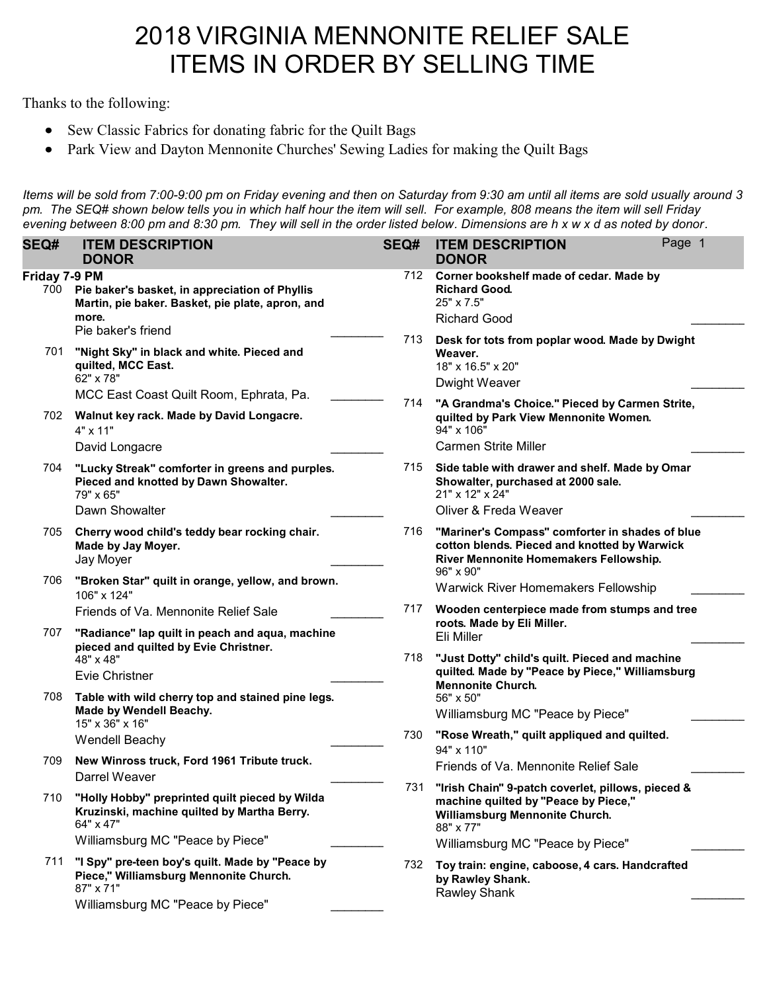# 2018 VIRGINIA MENNONITE RELIEF SALE ITEMS IN ORDER BY SELLING TIME

Thanks to the following:

- Sew Classic Fabrics for donating fabric for the Quilt Bags
- Park View and Dayton Mennonite Churches' Sewing Ladies for making the Quilt Bags

Items will be sold from 7:00-9:00 pm on Friday evening and then on Saturday from 9:30 am until all items are sold usually around 3 pm. The SEQ# shown below tells you in which half hour the item will sell. For example, 808 means the item will sell Friday evening between 8:00 pm and 8:30 pm. They will sell in the order listed below. Dimensions are h x w x d as noted by donor.

| <b>SEQ#</b>          | <b>ITEM DESCRIPTION</b><br><b>DONOR</b>                                                                                                        | SEQ# | <b>ITEM DESCRIPTION</b><br><b>DONOR</b>                                                                                                                                      | Page 1 |
|----------------------|------------------------------------------------------------------------------------------------------------------------------------------------|------|------------------------------------------------------------------------------------------------------------------------------------------------------------------------------|--------|
| Friday 7-9 PM<br>700 | Pie baker's basket, in appreciation of Phyllis<br>Martin, pie baker. Basket, pie plate, apron, and<br>more.                                    | 712  | Corner bookshelf made of cedar. Made by<br><b>Richard Good.</b><br>25" x 7.5"<br><b>Richard Good</b>                                                                         |        |
| 701                  | Pie baker's friend<br>"Night Sky" in black and white. Pieced and<br>quilted, MCC East.<br>62" x 78"                                            | 713  | Desk for tots from poplar wood. Made by Dwight<br>Weaver.<br>18" x 16.5" x 20"<br>Dwight Weaver                                                                              |        |
|                      | MCC East Coast Quilt Room, Ephrata, Pa.<br>702 Walnut key rack. Made by David Longacre.<br>$4" \times 11"$                                     | 714  | "A Grandma's Choice." Pieced by Carmen Strite,<br>quilted by Park View Mennonite Women.<br>94" x 106"<br><b>Carmen Strite Miller</b>                                         |        |
| 704                  | David Longacre<br>"Lucky Streak" comforter in greens and purples.<br>Pieced and knotted by Dawn Showalter.<br>79" x 65"<br>Dawn Showalter      | 715  | Side table with drawer and shelf. Made by Omar<br>Showalter, purchased at 2000 sale.<br>21" x 12" x 24"<br>Oliver & Freda Weaver                                             |        |
| 705                  | Cherry wood child's teddy bear rocking chair.<br>Made by Jay Moyer.<br>Jay Moyer                                                               | 716  | "Mariner's Compass" comforter in shades of blue<br>cotton blends. Pieced and knotted by Warwick<br>River Mennonite Homemakers Fellowship.                                    |        |
| 706                  | "Broken Star" quilt in orange, yellow, and brown.<br>106" x 124"<br>Friends of Va. Mennonite Relief Sale                                       | 717  | 96" x 90"<br><b>Warwick River Homemakers Fellowship</b><br>Wooden centerpiece made from stumps and tree                                                                      |        |
| 707                  | "Radiance" lap quilt in peach and aqua, machine<br>pieced and quilted by Evie Christner.<br>48" x 48"<br>Evie Christner                        | 718  | roots. Made by Eli Miller.<br>Eli Miller<br>"Just Dotty" child's quilt. Pieced and machine<br>quilted. Made by "Peace by Piece," Williamsburg                                |        |
| 708                  | Table with wild cherry top and stained pine legs.<br>Made by Wendell Beachy.<br>15" x 36" x 16"                                                | 730  | <b>Mennonite Church.</b><br>56" x 50"<br>Williamsburg MC "Peace by Piece"                                                                                                    |        |
| 709                  | <b>Wendell Beachy</b><br>New Winross truck, Ford 1961 Tribute truck.<br>Darrel Weaver                                                          |      | "Rose Wreath," quilt appliqued and quilted.<br>94" x 110"<br>Friends of Va. Mennonite Relief Sale                                                                            |        |
| 710                  | "Holly Hobby" preprinted quilt pieced by Wilda<br>Kruzinski, machine quilted by Martha Berry.<br>64" x 47"<br>Williamsburg MC "Peace by Piece" | 731  | "Irish Chain" 9-patch coverlet, pillows, pieced &<br>machine quilted by "Peace by Piece,"<br>Williamsburg Mennonite Church.<br>88" x 77"<br>Williamsburg MC "Peace by Piece" |        |
| 711                  | "I Spy" pre-teen boy's quilt. Made by "Peace by<br>Piece," Williamsburg Mennonite Church.<br>87" x 71"<br>Williamsburg MC "Peace by Piece"     | 732  | Toy train: engine, caboose, 4 cars. Handcrafted<br>by Rawley Shank.<br>Rawley Shank                                                                                          |        |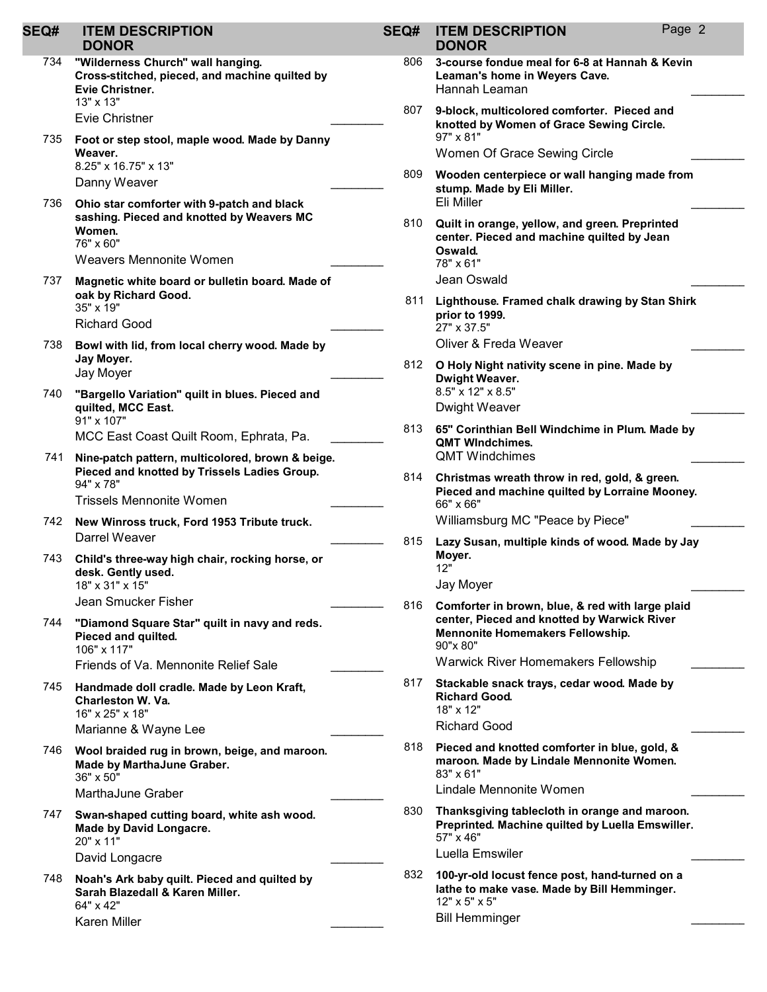| <b>SEQ#</b> | <b>ITEM DESCRIPTION</b><br><b>DONOR</b>                                                                             | SEQ# | Page<br><b>ITEM DESCRIPTION</b><br><b>DONOR</b>                                                                                                     |
|-------------|---------------------------------------------------------------------------------------------------------------------|------|-----------------------------------------------------------------------------------------------------------------------------------------------------|
| 734         | "Wilderness Church" wall hanging.<br>Cross-stitched, pieced, and machine quilted by<br>Evie Christner.<br>13" x 13" | 806  | 3-course fondue meal for 6-8 at Hannah & Kevin<br>Leaman's home in Weyers Cave.<br>Hannah Leaman                                                    |
|             | Evie Christner                                                                                                      | 807  | 9-block, multicolored comforter. Pieced and<br>knotted by Women of Grace Sewing Circle.                                                             |
| 735         | Foot or step stool, maple wood. Made by Danny<br>Weaver.                                                            |      | 97" x 81"<br>Women Of Grace Sewing Circle                                                                                                           |
|             | 8.25" x 16.75" x 13"<br>Danny Weaver                                                                                | 809  | Wooden centerpiece or wall hanging made from<br>stump. Made by Eli Miller.                                                                          |
| 736         | Ohio star comforter with 9-patch and black<br>sashing. Pieced and knotted by Weavers MC<br>Women.<br>76" x 60"      | 810  | Eli Miller<br>Quilt in orange, yellow, and green. Preprinted<br>center. Pieced and machine quilted by Jean<br>Oswald.                               |
|             | Weavers Mennonite Women                                                                                             |      | 78" x 61"<br>Jean Oswald                                                                                                                            |
| 737         | Magnetic white board or bulletin board. Made of<br>oak by Richard Good.<br>35" x 19"<br><b>Richard Good</b>         | 811  | Lighthouse. Framed chalk drawing by Stan Shirk<br>prior to 1999.<br>27" x 37.5"                                                                     |
| 738         | Bowl with lid, from local cherry wood. Made by                                                                      |      | Oliver & Freda Weaver                                                                                                                               |
|             | Jay Moyer.<br>Jay Moyer                                                                                             | 812. | O Holy Night nativity scene in pine. Made by<br><b>Dwight Weaver.</b>                                                                               |
| 740         | "Bargello Variation" quilt in blues. Pieced and<br>quilted, MCC East.<br>91" x 107"                                 |      | 8.5" x 12" x 8.5"<br>Dwight Weaver                                                                                                                  |
|             | MCC East Coast Quilt Room, Ephrata, Pa.                                                                             | 813. | 65" Corinthian Bell Windchime in Plum. Made by<br><b>QMT Windchimes.</b>                                                                            |
| 741         | Nine-patch pattern, multicolored, brown & beige.<br>Pieced and knotted by Trissels Ladies Group.<br>94" x 78"       | 814. | <b>QMT Windchimes</b><br>Christmas wreath throw in red, gold, & green.                                                                              |
|             | <b>Trissels Mennonite Women</b>                                                                                     |      | Pieced and machine quilted by Lorraine Mooney<br>66" x 66"                                                                                          |
| 742         | New Winross truck, Ford 1953 Tribute truck.                                                                         |      | Williamsburg MC "Peace by Piece"                                                                                                                    |
|             | Darrel Weaver                                                                                                       | 815  | Lazy Susan, multiple kinds of wood. Made by Jay                                                                                                     |
| 743         | Child's three-way high chair, rocking horse, or<br>desk. Gently used.<br>18" x 31" x 15"                            |      | Moyer.<br>12"<br>Jay Moyer                                                                                                                          |
|             | Jean Smucker Fisher                                                                                                 | 816  | Comforter in brown, blue, & red with large plaid                                                                                                    |
| 744         | "Diamond Square Star" quilt in navy and reds.<br>Pieced and quilted.<br>106" x 117"                                 |      | center, Pieced and knotted by Warwick River<br>Mennonite Homemakers Fellowship.<br>$90" \times 80"$                                                 |
|             | Friends of Va. Mennonite Relief Sale                                                                                |      | <b>Warwick River Homemakers Fellowship</b>                                                                                                          |
| 745         | Handmade doll cradle. Made by Leon Kraft,<br><b>Charleston W. Va.</b><br>16" x 25" x 18"                            | 817  | Stackable snack trays, cedar wood. Made by<br><b>Richard Good.</b><br>18" x 12"                                                                     |
|             | Marianne & Wayne Lee                                                                                                |      | <b>Richard Good</b>                                                                                                                                 |
| 746         | Wool braided rug in brown, beige, and maroon.<br>Made by MarthaJune Graber.<br>36" x 50"                            | 818  | Pieced and knotted comforter in blue, gold, &<br>maroon. Made by Lindale Mennonite Women.<br>83" x 61"                                              |
|             | MarthaJune Graber                                                                                                   |      | Lindale Mennonite Women                                                                                                                             |
| 747         | Swan-shaped cutting board, white ash wood.<br>Made by David Longacre.<br>20" x 11"                                  | 830  | Thanksgiving tablecloth in orange and maroon.<br>Preprinted. Machine quilted by Luella Emswiller.<br>57" x 46"                                      |
|             | David Longacre                                                                                                      |      | Luella Emswiler                                                                                                                                     |
| 748         | Noah's Ark baby quilt. Pieced and quilted by<br>Sarah Blazedall & Karen Miller.<br>64" x 42"<br>Karen Miller        | 832  | 100-yr-old locust fence post, hand-turned on a<br>lathe to make vase. Made by Bill Hemminger.<br>$12" \times 5" \times 5"$<br><b>Bill Hemminger</b> |

|    | Leaman's home in Weyers Cave.<br>Hannah Leaman                                                                                                         |
|----|--------------------------------------------------------------------------------------------------------------------------------------------------------|
| 07 | 9-block, multicolored comforter. Pieced and<br>knotted by Women of Grace Sewing Circle.<br>97" x 81"                                                   |
|    | Women Of Grace Sewing Circle                                                                                                                           |
| 09 | Wooden centerpiece or wall hanging made from<br>stump. Made by Eli Miller.<br>Eli Miller                                                               |
| 10 | Quilt in orange, yellow, and green. Preprinted<br>center. Pieced and machine quilted by Jean<br>Oswald.<br>78" x 61"<br>Jean Oswald                    |
| 11 | Lighthouse. Framed chalk drawing by Stan Shirk<br>prior to 1999.<br>27" x 37.5"                                                                        |
|    | Oliver & Freda Weaver                                                                                                                                  |
| 12 | O Holy Night nativity scene in pine. Made by<br><b>Dwight Weaver.</b><br>8.5" x 12" x 8.5"                                                             |
|    | Dwight Weaver                                                                                                                                          |
| 13 | 65" Corinthian Bell Windchime in Plum. Made by<br><b>QMT WIndchimes.</b><br><b>OMT Windchimes</b>                                                      |
| 14 | Christmas wreath throw in red, gold, & green.<br>Pieced and machine quilted by Lorraine Mooney.<br>66" x 66"                                           |
|    | Williamsburg MC "Peace by Piece"                                                                                                                       |
| 15 | Lazy Susan, multiple kinds of wood. Made by Jay<br>Moyer.<br>12"                                                                                       |
|    | Jay Moyer                                                                                                                                              |
| 16 | Comforter in brown, blue, & red with large plaid<br>center, Pieced and knotted by Warwick River<br><b>Mennonite Homemakers Fellowship.</b><br>90"x 80" |
|    | <b>Warwick River Homemakers Fellowship</b>                                                                                                             |
| 17 | Stackable snack trays, cedar wood. Made by                                                                                                             |

Page 2

- od. Richard Good \_\_\_\_\_\_\_\_
- knotted comforter in blue, gold, & ade by Lindale Mennonite Women.

Luella Emswiler **Australia** Emswiler **Luella** Emswi

locust fence post, hand-turned on a lke vase. Made by Bill Hemminger. 12" x 5" x 5" Bill Hemminger **and Elisabeth Contract Contract Contract Contract Contract Contract Contract Contract Contract Contract Contract Contract Contract Contract Contract Contract Contract Contract Contract Contract Contract Con**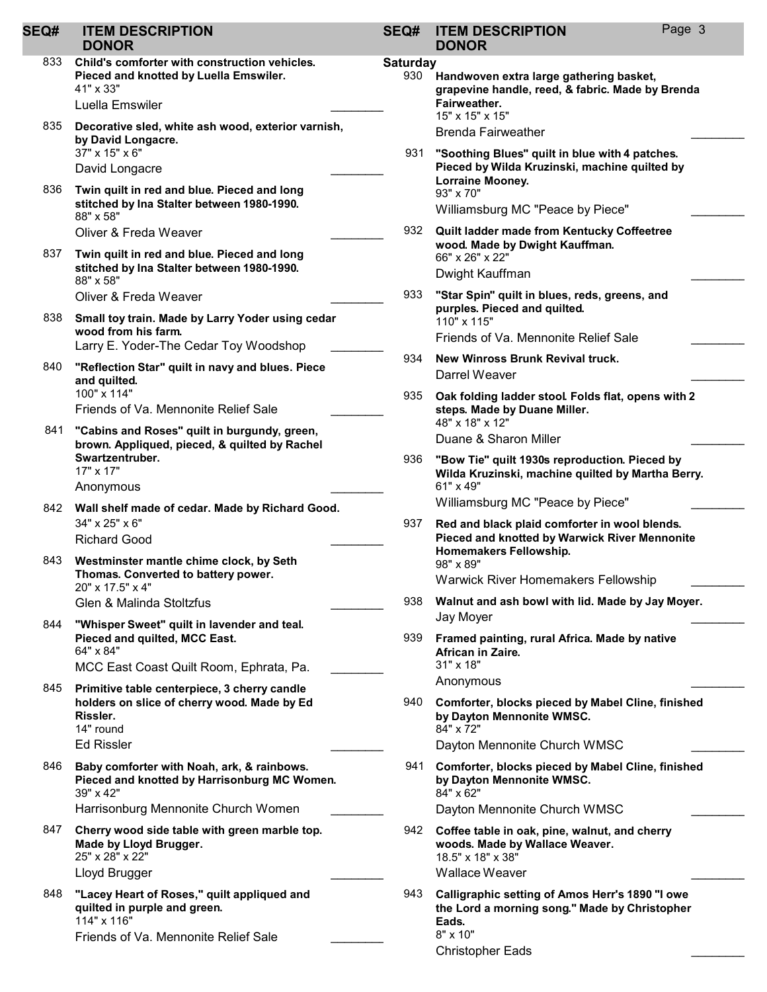#### SEQ# ITEM DESCRIPTION DONOR

- Child's comforter with construction vehicles. Pieced and knotted by Luella Emswiler. 833 41" x 33" Luella Emswiler
- Decorative sled, white ash wood, exterior varnish, by David Longacre. 835 37" x 15" x 6" David Longacre
- Twin quilt in red and blue. Pieced and long stitched by Ina Stalter between 1980-1990. 836 88" x 58" Oliver & Freda Weaver
- Twin quilt in red and blue. Pieced and long stitched by Ina Stalter between 1980-1990. 837 88" x 58" Oliver & Freda Weaver
- Small toy train. Made by Larry Yoder using cedar wood from his farm. 838 Larry E. Yoder-The Cedar Toy Woodshop
- "Reflection Star" quilt in navy and blues. Piece and quilted. 840 100" x 114" Friends of Va. Mennonite Relief Sale \_\_\_\_\_\_\_\_
- 841 "Cabins and Roses" quilt in burgundy, green, brown. Appliqued, pieced, & quilted by Rachel Swartzentruber. 17" x 17" Anonymous \_\_\_\_\_\_\_\_
- 842 Wall shelf made of cedar. Made by Richard Good. 34" x 25" x 6" Richard Good \_\_\_\_\_\_\_\_
- 843 Westminster mantle chime clock, by Seth Thomas. Converted to battery power. 20" x 17.5" x 4" Glen & Malinda Stoltzfus \_\_\_\_\_\_\_\_
- "Whisper Sweet" quilt in lavender and teal. Pieced and quilted, MCC East. 844 64" x 84"
- MCC East Coast Quilt Room, Ephrata, Pa. 845 Primitive table centerpiece, 3 cherry candle holders on slice of cherry wood. Made by Ed Rissler. 14" round Ed Rissler \_\_\_\_\_\_\_\_
- Baby comforter with Noah, ark, & rainbows. Pieced and knotted by Harrisonburg MC Women. 846 39" x 42" Harrisonburg Mennonite Church Women \_\_\_\_\_\_\_\_
- Cherry wood side table with green marble top. Made by Lloyd Brugger. 847 25" x 28" x 22"
	- Lloyd Brugger \_\_\_\_\_\_\_\_
- "Lacey Heart of Roses," quilt appliqued and quilted in purple and green. 848 114" x 116" Friends of Va. Mennonite Relief Sale \_\_\_\_\_\_\_\_

## SEQ# ITEM DESCRIPTION DONOR

#### **Saturday** Handwoven extra large gathering basket, grapevine handle, reed, & fabric. Made by Brenda Fairweather. 930 15" x 15" x 15" Brenda Fairweather "Soothing Blues" quilt in blue with 4 patches. Pieced by Wilda Kruzinski, machine quilted by Lorraine Mooney. 931 93" x 70" Williamsburg MC "Peace by Piece" Quilt ladder made from Kentucky Coffeetree wood. Made by Dwight Kauffman. 932 66" x 26" x 22" Dwight Kauffman "Star Spin" quilt in blues, reds, greens, and purples. Pieced and quilted. 933 110" x 115" Friends of Va. Mennonite Relief Sale \_\_\_\_\_\_\_\_ 934 New Winross Brunk Revival truck. Darrel Weaver Oak folding ladder stool. Folds flat, opens with 2 steps. Made by Duane Miller. 935 48" x 18" x 12" Duane & Sharon Miller "Bow Tie" quilt 1930s reproduction. Pieced by Wilda Kruzinski, machine quilted by Martha Berry. 936 61" x 49" Williamsburg MC "Peace by Piece" Red and black plaid comforter in wool blends. Pieced and knotted by Warwick River Mennonite Homemakers Fellowship. 937 98" x 89" Warwick River Homemakers Fellowship 938 Walnut and ash bowl with lid. Made by Jay Moyer. Jay Moyer \_\_\_\_\_\_\_\_ Framed painting, rural Africa. Made by native African in Zaire. 939 31" x 18" Anonymous \_\_\_\_\_\_\_\_ Comforter, blocks pieced by Mabel Cline, finished by Dayton Mennonite WMSC. 940 84" x 72" Dayton Mennonite Church WMSC Comforter, blocks pieced by Mabel Cline, finished by Dayton Mennonite WMSC. 941 84" x 62" Dayton Mennonite Church WMSC Coffee table in oak, pine, walnut, and cherry woods. Made by Wallace Weaver. 942 18.5" x 18" x 38" Wallace Weaver Calligraphic setting of Amos Herr's 1890 "I owe the Lord a morning song." Made by Christopher Eads. 943 8" x 10"

Christopher Eads \_\_\_\_\_\_\_\_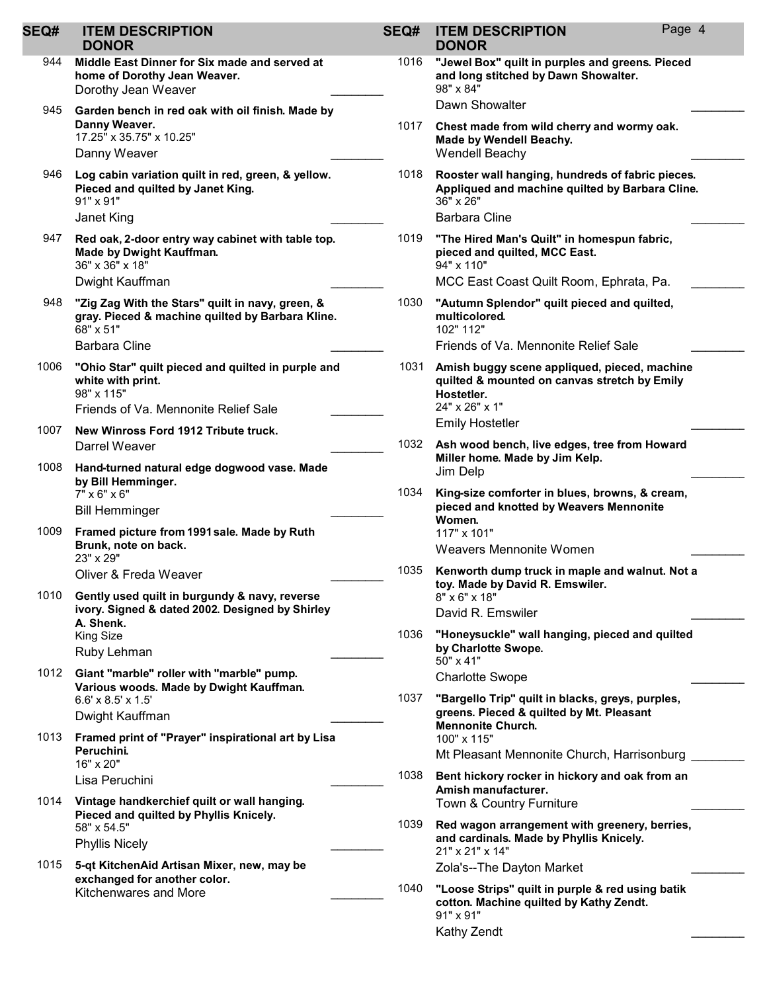| SEQ# | <b>ITEM DESCRIPTION</b><br><b>DONOR</b>                                                                                       | SEQ# | <b>ITEM DESCRIPTION</b><br><b>DONOR</b>                                                                                      | Page 4 |
|------|-------------------------------------------------------------------------------------------------------------------------------|------|------------------------------------------------------------------------------------------------------------------------------|--------|
| 944  | Middle East Dinner for Six made and served at<br>home of Dorothy Jean Weaver.<br>Dorothy Jean Weaver                          | 1016 | "Jewel Box" quilt in purples and greens. Pieced<br>and long stitched by Dawn Showalter.<br>98" x 84"                         |        |
| 945  | Garden bench in red oak with oil finish. Made by                                                                              |      | Dawn Showalter                                                                                                               |        |
|      | Danny Weaver.<br>17.25" x 35.75" x 10.25"<br>Danny Weaver                                                                     | 1017 | Chest made from wild cherry and wormy oak.<br>Made by Wendell Beachy.<br>Wendell Beachy                                      |        |
| 946  | Log cabin variation quilt in red, green, & yellow.<br>Pieced and quilted by Janet King.<br>91" x 91"                          | 1018 | Rooster wall hanging, hundreds of fabric pieces.<br>Appliqued and machine quilted by Barbara Cline.<br>36" x 26"             |        |
|      | Janet King                                                                                                                    |      | <b>Barbara Cline</b>                                                                                                         |        |
| 947  | Red oak, 2-door entry way cabinet with table top.<br>Made by Dwight Kauffman.<br>36" x 36" x 18"                              | 1019 | "The Hired Man's Quilt" in homespun fabric,<br>pieced and quilted, MCC East.<br>94" x 110"                                   |        |
|      | Dwight Kauffman                                                                                                               |      | MCC East Coast Quilt Room, Ephrata, Pa.                                                                                      |        |
| 948  | "Zig Zag With the Stars" quilt in navy, green, &<br>gray. Pieced & machine quilted by Barbara Kline.<br>68" x 51"             | 1030 | "Autumn Splendor" quilt pieced and quilted,<br>multicolored.<br>102" 112"                                                    |        |
|      | <b>Barbara Cline</b>                                                                                                          |      | Friends of Va. Mennonite Relief Sale                                                                                         |        |
| 1006 | "Ohio Star" quilt pieced and quilted in purple and<br>white with print.<br>98" x 115"<br>Friends of Va. Mennonite Relief Sale | 1031 | Amish buggy scene appliqued, pieced, machine<br>quilted & mounted on canvas stretch by Emily<br>Hostetler.<br>24" x 26" x 1" |        |
| 1007 | New Winross Ford 1912 Tribute truck.                                                                                          |      | <b>Emily Hostetler</b>                                                                                                       |        |
|      | Darrel Weaver                                                                                                                 | 1032 | Ash wood bench, live edges, tree from Howard                                                                                 |        |
| 1008 | Hand-turned natural edge dogwood vase. Made<br>by Bill Hemminger.                                                             |      | Miller home. Made by Jim Kelp.<br>Jim Delp                                                                                   |        |
|      | $7" \times 6" \times 6"$<br><b>Bill Hemminger</b>                                                                             |      | 1034<br>King-size comforter in blues, browns, & cream,<br>pieced and knotted by Weavers Mennonite                            |        |
| 1009 | Framed picture from 1991 sale. Made by Ruth                                                                                   |      | Women.<br>117" x 101"                                                                                                        |        |
|      | Brunk, note on back.<br>23" x 29"                                                                                             |      | Weavers Mennonite Women                                                                                                      |        |
|      | Oliver & Freda Weaver                                                                                                         | 1035 | Kenworth dump truck in maple and walnut. Not a                                                                               |        |
| 1010 | Gently used quilt in burgundy & navy, reverse<br>ivory. Signed & dated 2002. Designed by Shirley                              |      | toy. Made by David R. Emswiler.<br>8" x 6" x 18"                                                                             |        |
|      |                                                                                                                               |      | David R. Emswiler                                                                                                            |        |
|      | A. Shenk.<br>King Size<br>Ruby Lehman                                                                                         | 1036 | "Honeysuckle" wall hanging, pieced and quilted<br>by Charlotte Swope.                                                        |        |
|      |                                                                                                                               |      | 50" x 41"                                                                                                                    |        |
| 1012 | Giant "marble" roller with "marble" pump.<br>Various woods. Made by Dwight Kauffman.                                          |      | <b>Charlotte Swope</b>                                                                                                       |        |
|      | $6.6' \times 8.5' \times 1.5'$<br>Dwight Kauffman                                                                             | 1037 | "Bargello Trip" quilt in blacks, greys, purples,<br>greens. Pieced & quilted by Mt. Pleasant                                 |        |
| 1013 | Framed print of "Prayer" inspirational art by Lisa                                                                            |      | <b>Mennonite Church.</b><br>100" x 115"                                                                                      |        |
|      | Peruchini.<br>16" x 20"                                                                                                       |      | Mt Pleasant Mennonite Church, Harrisonburg                                                                                   |        |
|      | Lisa Peruchini                                                                                                                | 1038 | Bent hickory rocker in hickory and oak from an                                                                               |        |
| 1014 | Vintage handkerchief quilt or wall hanging.                                                                                   |      | Amish manufacturer.<br>Town & Country Furniture                                                                              |        |
|      | Pieced and quilted by Phyllis Knicely.<br>58" x 54.5"<br><b>Phyllis Nicely</b>                                                | 1039 | Red wagon arrangement with greenery, berries,<br>and cardinals. Made by Phyllis Knicely.                                     |        |
| 1015 | 5-qt KitchenAid Artisan Mixer, new, may be                                                                                    |      | 21" x 21" x 14"                                                                                                              |        |
|      | exchanged for another color.<br>Kitchenwares and More                                                                         |      | Zola's--The Dayton Market                                                                                                    |        |
|      |                                                                                                                               | 1040 | "Loose Strips" quilt in purple & red using batik<br>cotton. Machine quilted by Kathy Zendt.<br>91" x 91"                     |        |
|      |                                                                                                                               |      | Kathy Zendt                                                                                                                  |        |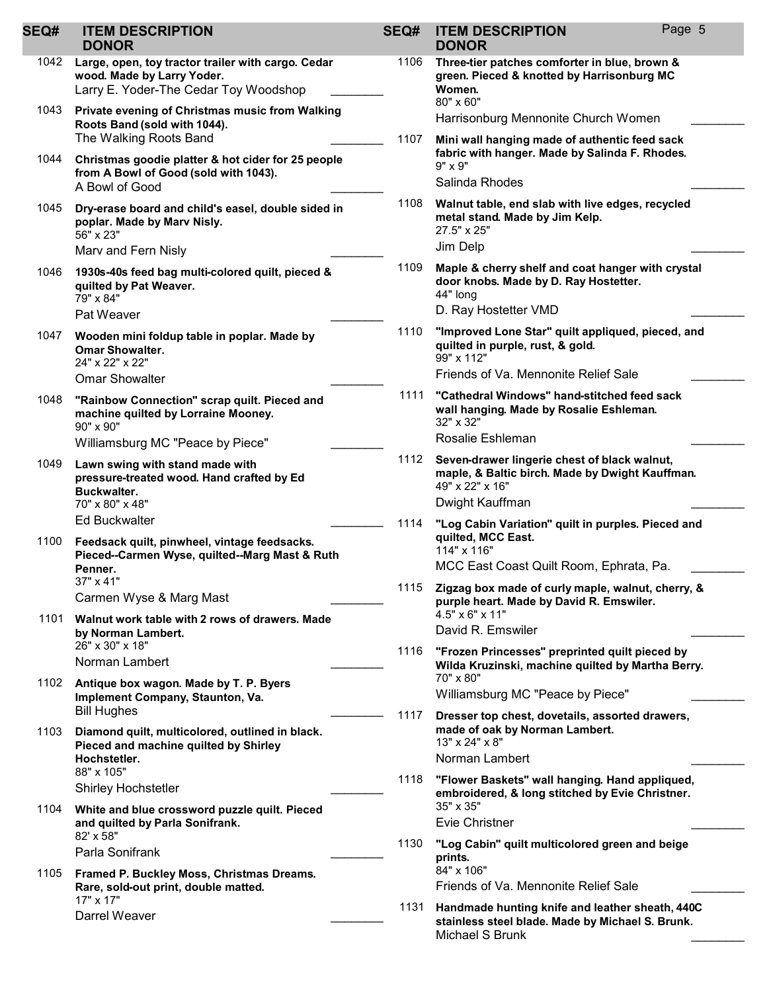| <b>SEQ#</b> | <b>ITEM DESCRIPTION</b><br><b>DONOR</b>                                                                                                 | SEQ# | <b>ITEM DESCRIPTION</b><br><b>DONOR</b>                                                                                                     | Page 5 |
|-------------|-----------------------------------------------------------------------------------------------------------------------------------------|------|---------------------------------------------------------------------------------------------------------------------------------------------|--------|
| 1042        | Large, open, toy tractor trailer with cargo. Cedar<br>wood. Made by Larry Yoder.<br>Larry E. Yoder-The Cedar Toy Woodshop               | 1106 | Three-tier patches comforter in blue, brown &<br>green. Pieced & knotted by Harrisonburg MC<br>Women.<br>80" x 60"                          |        |
| 1043        | Private evening of Christmas music from Walking<br>Roots Band (sold with 1044).                                                         |      | Harrisonburg Mennonite Church Women                                                                                                         |        |
| 1044        | The Walking Roots Band<br>Christmas goodie platter & hot cider for 25 people<br>from A Bowl of Good (sold with 1043).<br>A Bowl of Good | 1107 | Mini wall hanging made of authentic feed sack<br>fabric with hanger. Made by Salinda F. Rhodes.<br>9" x 9"<br>Salinda Rhodes                |        |
| 1045        | Dry-erase board and child's easel, double sided in<br>poplar. Made by Marv Nisly.<br>56" x 23"                                          | 1108 | Walnut table, end slab with live edges, recycled<br>metal stand. Made by Jim Kelp.<br>27.5" x 25"<br>Jim Delp                               |        |
| 1046        | Marv and Fern Nisly<br>1930s-40s feed bag multi-colored quilt, pieced &<br>quilted by Pat Weaver.<br>79" x 84"<br>Pat Weaver            | 1109 | Maple & cherry shelf and coat hanger with crystal<br>door knobs. Made by D. Ray Hostetter.<br>44" long<br>D. Ray Hostetter VMD              |        |
| 1047        | Wooden mini foldup table in poplar. Made by<br><b>Omar Showalter.</b><br>24" x 22" x 22"<br><b>Omar Showalter</b>                       | 1110 | "Improved Lone Star" quilt appliqued, pieced, and<br>quilted in purple, rust, & gold.<br>99" x 112"<br>Friends of Va. Mennonite Relief Sale |        |
| 1048        | "Rainbow Connection" scrap quilt. Pieced and<br>machine quilted by Lorraine Mooney.<br>90" x 90"                                        | 1111 | "Cathedral Windows" hand-stitched feed sack<br>wall hanging. Made by Rosalie Eshleman.<br>32" x 32"                                         |        |
|             | Williamsburg MC "Peace by Piece"                                                                                                        |      | Rosalie Eshleman                                                                                                                            |        |
| 1049        | Lawn swing with stand made with<br>pressure-treated wood. Hand crafted by Ed<br>Buckwalter.                                             | 1112 | Seven-drawer lingerie chest of black walnut,<br>maple, & Baltic birch. Made by Dwight Kauffman.<br>49" x 22" x 16"                          |        |
|             | 70" x 80" x 48"<br><b>Ed Buckwalter</b>                                                                                                 | 1114 | Dwight Kauffman<br>"Log Cabin Variation" quilt in purples. Pieced and                                                                       |        |
| 1100        | Feedsack quilt, pinwheel, vintage feedsacks.<br>Pieced--Carmen Wyse, quilted--Marg Mast & Ruth<br>Penner.<br>37" x 41"                  |      | quilted, MCC East.<br>114" x 116"<br>MCC East Coast Quilt Room, Ephrata, Pa.                                                                |        |
| 1101        | Carmen Wyse & Marg Mast<br>Walnut work table with 2 rows of drawers. Made                                                               |      | 1115 Zigzag box made of curly maple, walnut, cherry, &<br>purple heart. Made by David R. Emswiler.<br>4.5" x 6" x 11"                       |        |
|             | by Norman Lambert.<br>26" x 30" x 18"                                                                                                   |      | David R. Emswiler                                                                                                                           |        |
|             | Norman Lambert                                                                                                                          | 1116 | "Frozen Princesses" preprinted quilt pieced by<br>Wilda Kruzinski, machine quilted by Martha Berry.<br>70" x 80"                            |        |
| 1102        | Antique box wagon. Made by T. P. Byers<br>Implement Company, Staunton, Va.                                                              |      | Williamsburg MC "Peace by Piece"                                                                                                            |        |
| 1103        | <b>Bill Hughes</b><br>Diamond quilt, multicolored, outlined in black.<br>Pieced and machine quilted by Shirley                          | 1117 | Dresser top chest, dovetails, assorted drawers,<br>made of oak by Norman Lambert.<br>13" x 24" x 8"                                         |        |
|             | Hochstetler.<br>88" x 105"                                                                                                              |      | Norman Lambert                                                                                                                              |        |
|             | <b>Shirley Hochstetler</b>                                                                                                              | 1118 | "Flower Baskets" wall hanging. Hand appliqued,<br>embroidered, & long stitched by Evie Christner.                                           |        |
| 1104        | White and blue crossword puzzle quilt. Pieced<br>and quilted by Parla Sonifrank.                                                        |      | 35" x 35"<br><b>Evie Christner</b>                                                                                                          |        |
|             | 82' x 58"<br>Parla Sonifrank                                                                                                            | 1130 | "Log Cabin" quilt multicolored green and beige<br>prints.                                                                                   |        |
| 1105        | Framed P. Buckley Moss, Christmas Dreams.<br>Rare, sold-out print, double matted.                                                       |      | 84" x 106"<br>Friends of Va. Mennonite Relief Sale                                                                                          |        |
|             | 17" x 17"<br>Darrel Weaver                                                                                                              | 1131 | Handmade hunting knife and leather sheath, 440C<br>stainless steel blade. Made by Michael S. Brunk.<br>Michael S Brunk                      |        |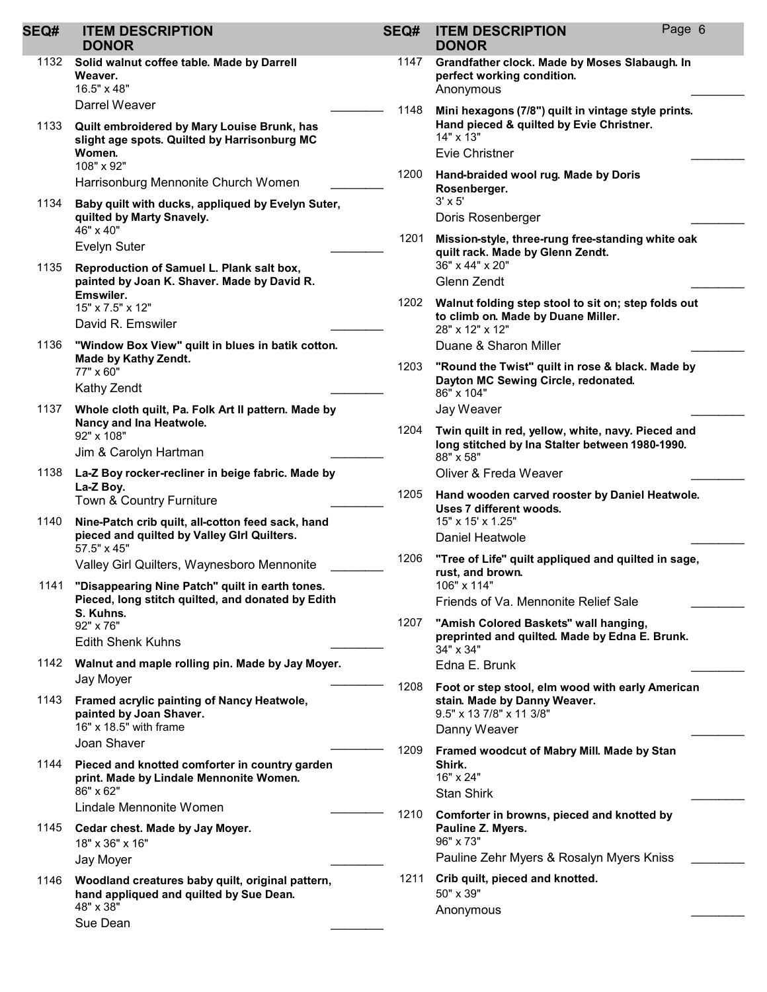| SEQ# | <b>ITEM DESCRIPTION</b><br><b>DONOR</b>                                                                                     | SEQ# | <b>ITEM DESCRIPTION</b><br><b>DONOR</b>                                                                                         | Page 6 |
|------|-----------------------------------------------------------------------------------------------------------------------------|------|---------------------------------------------------------------------------------------------------------------------------------|--------|
| 1132 | Solid walnut coffee table. Made by Darrell<br>Weaver.<br>16.5" x 48"                                                        | 1147 | Grandfather clock. Made by Moses Slabaugh. In<br>perfect working condition.<br>Anonymous                                        |        |
| 1133 | Darrel Weaver<br>Quilt embroidered by Mary Louise Brunk, has<br>slight age spots. Quilted by Harrisonburg MC                | 1148 | Mini hexagons (7/8") quilt in vintage style prints.<br>Hand pieced & quilted by Evie Christner.<br>14" x 13"                    |        |
|      | Women.<br>108" x 92"<br>Harrisonburg Mennonite Church Women                                                                 | 1200 | Evie Christner<br>Hand-braided wool rug. Made by Doris                                                                          |        |
| 1134 | Baby quilt with ducks, appliqued by Evelyn Suter,<br>quilted by Marty Snavely.                                              |      | Rosenberger.<br>$3' \times 5'$<br>Doris Rosenberger                                                                             |        |
|      | 46" x 40"<br><b>Evelyn Suter</b>                                                                                            | 1201 | Mission-style, three-rung free-standing white oak<br>quilt rack. Made by Glenn Zendt.<br>36" x 44" x 20"                        |        |
| 1135 | Reproduction of Samuel L. Plank salt box,<br>painted by Joan K. Shaver. Made by David R.<br>Emswiler.                       | 1202 | Glenn Zendt<br>Walnut folding step stool to sit on; step folds out                                                              |        |
|      | 15" x 7.5" x 12"<br>David R. Emswiler                                                                                       |      | to climb on. Made by Duane Miller.<br>28" x 12" x 12"                                                                           |        |
| 1136 | "Window Box View" quilt in blues in batik cotton.<br>Made by Kathy Zendt.<br>77" x 60"                                      | 1203 | Duane & Sharon Miller<br>"Round the Twist" quilt in rose & black. Made by                                                       |        |
| 1137 | Kathy Zendt<br>Whole cloth quilt, Pa. Folk Art II pattern. Made by                                                          |      | Dayton MC Sewing Circle, redonated.<br>86" x 104"<br>Jay Weaver                                                                 |        |
|      | Nancy and Ina Heatwole.<br>92" x 108"<br>Jim & Carolyn Hartman                                                              | 1204 | Twin quilt in red, yellow, white, navy. Pieced and<br>long stitched by Ina Stalter between 1980-1990.                           |        |
| 1138 | La-Z Boy rocker-recliner in beige fabric. Made by                                                                           |      | 88" x 58"<br>Oliver & Freda Weaver                                                                                              |        |
| 1140 | La-Z Boy.<br>Town & Country Furniture                                                                                       | 1205 | Hand wooden carved rooster by Daniel Heatwole.<br>Uses 7 different woods.<br>15" x 15' x 1.25"                                  |        |
|      | Nine-Patch crib quilt, all-cotton feed sack, hand<br>pieced and quilted by Valley GIrl Quilters.<br>57.5" x 45"             | 1206 | Daniel Heatwole                                                                                                                 |        |
| 1141 | Valley Girl Quilters, Waynesboro Mennonite<br>"Disappearing Nine Patch" quilt in earth tones.                               |      | "Tree of Life" quilt appliqued and quilted in sage,<br>rust, and brown.<br>106" x 114"                                          |        |
|      | Pieced, long stitch quilted, and donated by Edith<br>S. Kuhns.<br>92" x 76"<br><b>Edith Shenk Kuhns</b>                     | 1207 | Friends of Va. Mennonite Relief Sale<br>"Amish Colored Baskets" wall hanging,<br>preprinted and quilted. Made by Edna E. Brunk. |        |
|      | 1142 Walnut and maple rolling pin. Made by Jay Moyer.                                                                       |      | 34" x 34"<br>Edna E. Brunk                                                                                                      |        |
| 1143 | Jay Moyer<br>Framed acrylic painting of Nancy Heatwole,<br>painted by Joan Shaver.<br>16" x 18.5" with frame<br>Joan Shaver | 1208 | Foot or step stool, elm wood with early American<br>stain. Made by Danny Weaver.<br>9.5" x 13 7/8" x 11 3/8"<br>Danny Weaver    |        |
| 1144 | Pieced and knotted comforter in country garden<br>print. Made by Lindale Mennonite Women.<br>86" x 62"                      | 1209 | Framed woodcut of Mabry Mill. Made by Stan<br>Shirk.<br>16" x 24"<br><b>Stan Shirk</b>                                          |        |
| 1145 | Lindale Mennonite Women<br>Cedar chest. Made by Jay Moyer.<br>18" x 36" x 16"<br>Jay Moyer                                  | 1210 | Comforter in browns, pieced and knotted by<br>Pauline Z. Myers.<br>96" x 73"<br>Pauline Zehr Myers & Rosalyn Myers Kniss        |        |
| 1146 | Woodland creatures baby quilt, original pattern,<br>hand appliqued and quilted by Sue Dean.<br>48" x 38"<br>Sue Dean        | 1211 | Crib quilt, pieced and knotted.<br>50" x 39"<br>Anonymous                                                                       |        |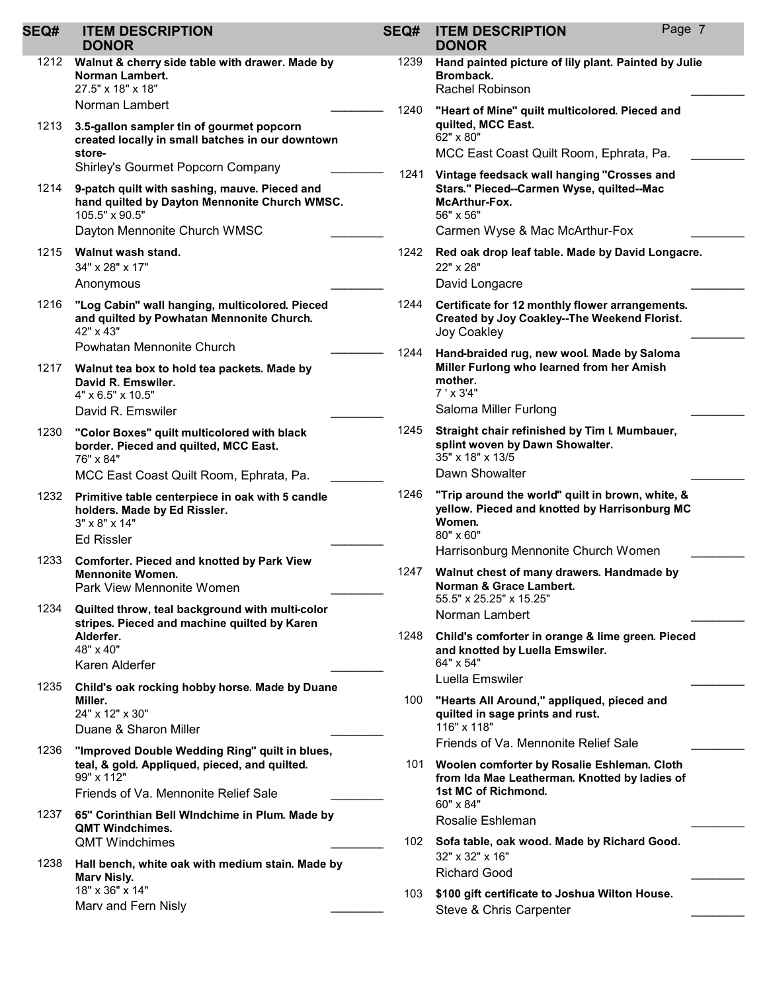| <b>SEQ#</b> | <b>ITEM DESCRIPTION</b><br><b>DONOR</b>                                                                                | SEQ# | <b>ITEM DESCRIPTION</b><br><b>DONOR</b>                                                                                  | Page 7 |
|-------------|------------------------------------------------------------------------------------------------------------------------|------|--------------------------------------------------------------------------------------------------------------------------|--------|
| 1212        | Walnut & cherry side table with drawer. Made by<br>Norman Lambert.<br>27.5" x 18" x 18"                                | 1239 | Hand painted picture of lily plant. Painted by Julie<br>Bromback.<br><b>Rachel Robinson</b>                              |        |
| 1213        | Norman Lambert<br>3.5-gallon sampler tin of gourmet popcorn                                                            | 1240 | "Heart of Mine" quilt multicolored. Pieced and<br>quilted, MCC East.<br>62" x 80"                                        |        |
|             | created locally in small batches in our downtown<br>store-                                                             |      | MCC East Coast Quilt Room, Ephrata, Pa.                                                                                  |        |
|             | Shirley's Gourmet Popcorn Company                                                                                      | 1241 | Vintage feedsack wall hanging "Crosses and                                                                               |        |
| 1214        | 9-patch quilt with sashing, mauve. Pieced and<br>hand quilted by Dayton Mennonite Church WMSC.<br>105.5" x 90.5"       |      | Stars." Pieced--Carmen Wyse, quilted--Mac<br><b>McArthur-Fox.</b><br>56" x 56"                                           |        |
|             | Dayton Mennonite Church WMSC                                                                                           |      | Carmen Wyse & Mac McArthur-Fox                                                                                           |        |
| 1215        | Walnut wash stand.<br>34" x 28" x 17"                                                                                  | 1242 | Red oak drop leaf table. Made by David Longacre.<br>22" x 28"                                                            |        |
|             | Anonymous                                                                                                              |      | David Longacre                                                                                                           |        |
| 1216        | "Log Cabin" wall hanging, multicolored. Pieced<br>and quilted by Powhatan Mennonite Church.<br>42" x 43"               | 1244 | Certificate for 12 monthly flower arrangements.<br><b>Created by Joy Coakley--The Weekend Florist.</b><br>Joy Coakley    |        |
|             | Powhatan Mennonite Church                                                                                              | 1244 | Hand-braided rug, new wool. Made by Saloma                                                                               |        |
| 1217        | Walnut tea box to hold tea packets. Made by<br>David R. Emswiler.<br>4" x 6.5" x 10.5"                                 |      | Miller Furlong who learned from her Amish<br>mother.<br>$7' \times 3'4"$                                                 |        |
|             | David R. Emswiler                                                                                                      |      | Saloma Miller Furlong                                                                                                    |        |
| 1230        | "Color Boxes" quilt multicolored with black<br>border. Pieced and quilted, MCC East.<br>76" x 84"                      | 1245 | Straight chair refinished by Tim I. Mumbauer,<br>splint woven by Dawn Showalter.<br>35" x 18" x 13/5                     |        |
|             | MCC East Coast Quilt Room, Ephrata, Pa.                                                                                |      | Dawn Showalter                                                                                                           |        |
| 1232        | Primitive table centerpiece in oak with 5 candle<br>holders. Made by Ed Rissler.<br>3" x 8" x 14"<br><b>Ed Rissler</b> | 1246 | "Trip around the world" quilt in brown, white, &<br>yellow. Pieced and knotted by Harrisonburg MC<br>Women.<br>80" x 60" |        |
| 1233        | <b>Comforter. Pieced and knotted by Park View</b>                                                                      |      | Harrisonburg Mennonite Church Women                                                                                      |        |
|             | Mennonite Women.<br>Park View Mennonite Women                                                                          | 1247 | Walnut chest of many drawers. Handmade by<br>Norman & Grace Lambert.<br>55.5" x 25.25" x 15.25"                          |        |
| 1234        | Quilted throw, teal background with multi-color<br>stripes. Pieced and machine quilted by Karen                        |      | Norman Lambert                                                                                                           |        |
|             | Alderfer.<br>48" x 40"                                                                                                 | 1248 | Child's comforter in orange & lime green. Pieced<br>and knotted by Luella Emswiler.<br>64" x 54"                         |        |
|             | Karen Alderfer                                                                                                         |      | Luella Emswiler                                                                                                          |        |
| 1235        | Child's oak rocking hobby horse. Made by Duane<br>Miller.<br>24" x 12" x 30"                                           | 100  | "Hearts All Around," appliqued, pieced and<br>quilted in sage prints and rust.<br>116" x 118"                            |        |
|             | Duane & Sharon Miller                                                                                                  |      | Friends of Va. Mennonite Relief Sale                                                                                     |        |
| 1236        | "Improved Double Wedding Ring" quilt in blues,<br>teal, & gold. Appliqued, pieced, and quilted.                        | 101  | Woolen comforter by Rosalie Eshleman. Cloth                                                                              |        |
|             | 99" x 112"<br>Friends of Va. Mennonite Relief Sale                                                                     |      | from Ida Mae Leatherman. Knotted by ladies of<br>1st MC of Richmond.                                                     |        |
| 1237        | 65" Corinthian Bell Windchime in Plum. Made by                                                                         |      | 60" x 84"<br>Rosalie Eshleman                                                                                            |        |
|             | <b>QMT Windchimes.</b><br><b>QMT Windchimes</b>                                                                        |      | 102 Sofa table, oak wood. Made by Richard Good.                                                                          |        |
| 1238        | Hall bench, white oak with medium stain. Made by<br>Marv Nisly.                                                        |      | 32" x 32" x 16"<br><b>Richard Good</b>                                                                                   |        |
|             | 18" x 36" x 14"<br>Marv and Fern Nisly                                                                                 | 103  | \$100 gift certificate to Joshua Wilton House.<br>Steve & Chris Carpenter                                                |        |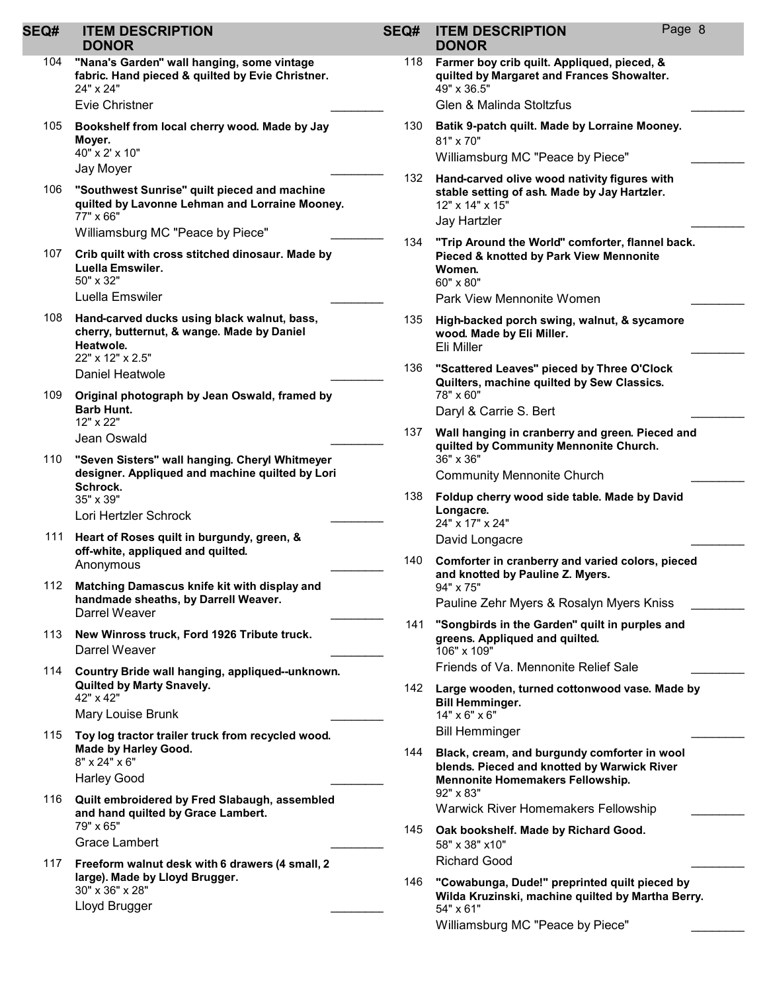| SEQ# | <b>ITEM DESCRIPTION</b><br><b>DONOR</b>                                                                                       | SEQ# | <b>ITEM DESCRIPTION</b><br><b>DONOR</b>                                                                                              | Page 8 |  |
|------|-------------------------------------------------------------------------------------------------------------------------------|------|--------------------------------------------------------------------------------------------------------------------------------------|--------|--|
| 104  | "Nana's Garden" wall hanging, some vintage<br>fabric. Hand pieced & quilted by Evie Christner.<br>24" x 24"<br>Evie Christner | 118  | Farmer boy crib quilt. Appliqued, pieced, &<br>quilted by Margaret and Frances Showalter.<br>49" x 36.5"<br>Glen & Malinda Stoltzfus |        |  |
| 105  | Bookshelf from local cherry wood. Made by Jay<br>Moyer.<br>40" x 2' x 10"                                                     | 130  | Batik 9-patch quilt. Made by Lorraine Mooney.<br>81" x 70"<br>Williamsburg MC "Peace by Piece"                                       |        |  |
|      | Jay Moyer                                                                                                                     |      |                                                                                                                                      |        |  |
| 106  | "Southwest Sunrise" quilt pieced and machine<br>quilted by Lavonne Lehman and Lorraine Mooney.<br>77" x 66"                   | 132  | Hand-carved olive wood nativity figures with<br>stable setting of ash. Made by Jay Hartzler.<br>12" x 14" x 15"<br>Jay Hartzler      |        |  |
|      | Williamsburg MC "Peace by Piece"                                                                                              | 134  | "Trip Around the World" comforter, flannel back.                                                                                     |        |  |
| 107  | Crib quilt with cross stitched dinosaur. Made by<br>Luella Emswiler.<br>50" x 32"                                             |      | Pieced & knotted by Park View Mennonite<br>Women.<br>60" x 80"                                                                       |        |  |
|      | Luella Emswiler                                                                                                               |      | Park View Mennonite Women                                                                                                            |        |  |
| 108  | Hand-carved ducks using black walnut, bass,<br>cherry, butternut, & wange. Made by Daniel<br>Heatwole.<br>22" x 12" x 2.5"    | 135  | High-backed porch swing, walnut, & sycamore<br>wood. Made by Eli Miller.<br>Eli Miller                                               |        |  |
|      | Daniel Heatwole                                                                                                               | 136  | "Scattered Leaves" pieced by Three O'Clock                                                                                           |        |  |
| 109  | Original photograph by Jean Oswald, framed by                                                                                 |      | Quilters, machine quilted by Sew Classics.<br>78" x 60"                                                                              |        |  |
|      | <b>Barb Hunt.</b>                                                                                                             |      | Daryl & Carrie S. Bert                                                                                                               |        |  |
|      | 12" x 22"<br>Jean Oswald                                                                                                      | 137  | Wall hanging in cranberry and green. Pieced and                                                                                      |        |  |
| 110  | "Seven Sisters" wall hanging. Cheryl Whitmeyer<br>designer. Appliqued and machine quilted by Lori                             |      | quilted by Community Mennonite Church.                                                                                               |        |  |
|      |                                                                                                                               |      | 36" x 36"<br><b>Community Mennonite Church</b>                                                                                       |        |  |
|      | Schrock.<br>35" x 39"<br>Lori Hertzler Schrock                                                                                | 138  | Foldup cherry wood side table. Made by David<br>Longacre.<br>24" x 17" x 24"                                                         |        |  |
| 111  | Heart of Roses quilt in burgundy, green, &                                                                                    |      | David Longacre                                                                                                                       |        |  |
|      | off-white, appliqued and quilted.<br>Anonymous                                                                                | 140  | Comforter in cranberry and varied colors, pieced<br>and knotted by Pauline Z. Myers.                                                 |        |  |
| 112  | Matching Damascus knife kit with display and                                                                                  |      | 94" x 75"                                                                                                                            |        |  |
|      | handmade sheaths, by Darrell Weaver.<br>Darrel Weaver                                                                         |      | Pauline Zehr Myers & Rosalyn Myers Kniss                                                                                             |        |  |
| 113  | New Winross truck, Ford 1926 Tribute truck.<br>Darrel Weaver                                                                  | 141  | "Songbirds in the Garden" quilt in purples and<br>greens. Appliqued and quilted.<br>106" x 109"                                      |        |  |
| 114  | Country Bride wall hanging, appliqued--unknown.                                                                               |      | Friends of Va. Mennonite Relief Sale                                                                                                 |        |  |
|      | Quilted by Marty Snavely.<br>42" x 42"<br>Mary Louise Brunk                                                                   |      | 142 Large wooden, turned cottonwood vase. Made by<br><b>Bill Hemminger.</b><br>14" x 6" x 6"                                         |        |  |
| 115  | Toy log tractor trailer truck from recycled wood.                                                                             |      | <b>Bill Hemminger</b>                                                                                                                |        |  |
|      | Made by Harley Good.<br>8" x 24" x 6"                                                                                         | 144  | Black, cream, and burgundy comforter in wool<br>blends. Pieced and knotted by Warwick River                                          |        |  |
|      | <b>Harley Good</b>                                                                                                            |      | Mennonite Homemakers Fellowship.                                                                                                     |        |  |
| 116  | Quilt embroidered by Fred Slabaugh, assembled<br>and hand quilted by Grace Lambert.<br>79" x 65"                              |      | 92" x 83"<br><b>Warwick River Homemakers Fellowship</b>                                                                              |        |  |
|      | Grace Lambert                                                                                                                 | 145  | Oak bookshelf. Made by Richard Good.<br>58" x 38" x10"                                                                               |        |  |
| 117  | Freeform walnut desk with 6 drawers (4 small, 2                                                                               |      | <b>Richard Good</b>                                                                                                                  |        |  |
|      | large). Made by Lloyd Brugger.<br>30" x 36" x 28"<br>Lloyd Brugger                                                            | 146  | "Cowabunga, Dude!" preprinted quilt pieced by<br>Wilda Kruzinski, machine quilted by Martha Berry.                                   |        |  |
|      |                                                                                                                               |      | 54" x 61"<br>Williamsburg MC "Peace by Piece"                                                                                        |        |  |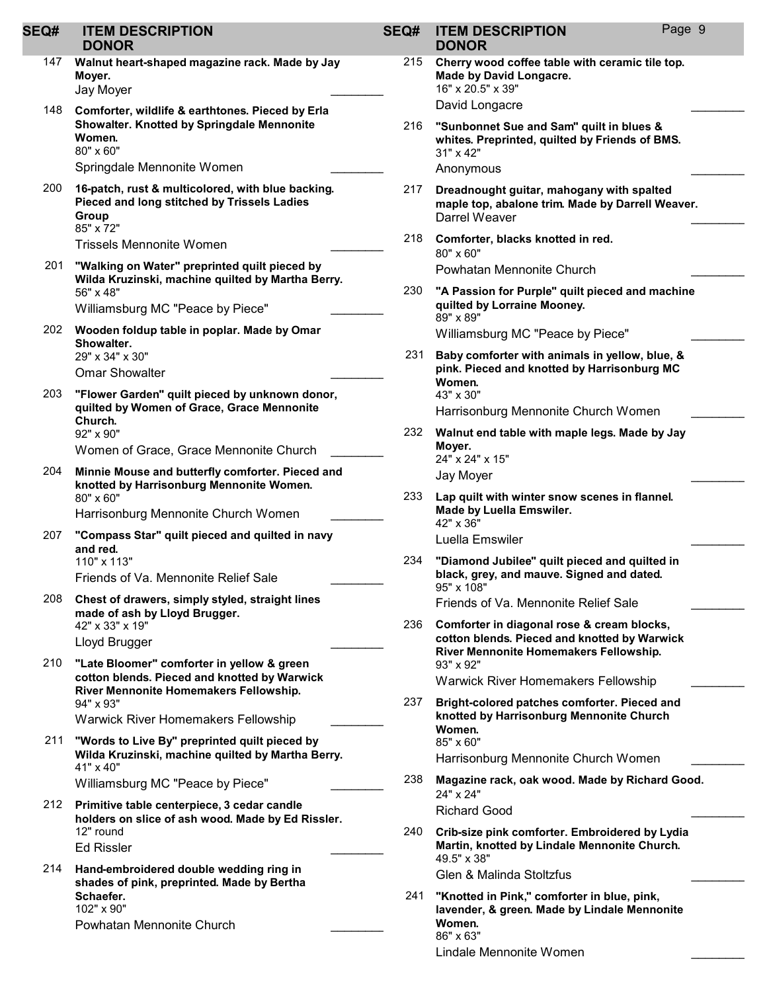| <b>SEQ#</b> | <b>ITEM DESCRIPTION</b><br><b>DONOR</b>                                                                                                             | SEQ# | <b>ITEM DESCRIPTION</b><br><b>DONOR</b>                                                                                                | Page 9 |
|-------------|-----------------------------------------------------------------------------------------------------------------------------------------------------|------|----------------------------------------------------------------------------------------------------------------------------------------|--------|
| 147         | Walnut heart-shaped magazine rack. Made by Jay<br>Moyer.<br>Jay Moyer                                                                               | 215  | Cherry wood coffee table with ceramic tile top.<br>Made by David Longacre.<br>16" x 20.5" x 39"                                        |        |
| 148         | Comforter, wildlife & earthtones. Pieced by Erla<br>Showalter. Knotted by Springdale Mennonite<br>Women.<br>80" x 60"<br>Springdale Mennonite Women | 216  | David Longacre<br>"Sunbonnet Sue and Sam" quilt in blues &<br>whites. Preprinted, quilted by Friends of BMS.<br>31" x 42"<br>Anonymous |        |
| 200         | 16-patch, rust & multicolored, with blue backing.<br>Pieced and long stitched by Trissels Ladies<br>Group<br>85" x 72"                              | 217  | Dreadnought guitar, mahogany with spalted<br>maple top, abalone trim. Made by Darrell Weaver.<br>Darrel Weaver                         |        |
|             | <b>Trissels Mennonite Women</b>                                                                                                                     | 218  | Comforter, blacks knotted in red.<br>80" x 60"                                                                                         |        |
| 201         | "Walking on Water" preprinted quilt pieced by<br>Wilda Kruzinski, machine quilted by Martha Berry.                                                  |      | Powhatan Mennonite Church                                                                                                              |        |
|             | 56" x 48"<br>Williamsburg MC "Peace by Piece"                                                                                                       | 230  | "A Passion for Purple" quilt pieced and machine<br>quilted by Lorraine Mooney.<br>89" x 89"                                            |        |
| 202         | Wooden foldup table in poplar. Made by Omar<br>Showalter.                                                                                           |      | Williamsburg MC "Peace by Piece"                                                                                                       |        |
|             | 29" x 34" x 30"<br><b>Omar Showalter</b>                                                                                                            | 231  | Baby comforter with animals in yellow, blue, &<br>pink. Pieced and knotted by Harrisonburg MC<br>Women.                                |        |
| 203         | "Flower Garden" quilt pieced by unknown donor,<br>quilted by Women of Grace, Grace Mennonite<br>Church.                                             |      | 43" x 30"<br>Harrisonburg Mennonite Church Women                                                                                       |        |
|             | 92" x 90"<br>Women of Grace, Grace Mennonite Church                                                                                                 | 232  | Walnut end table with maple legs. Made by Jay<br>Moyer.<br>24" x 24" x 15"                                                             |        |
| 204         | Minnie Mouse and butterfly comforter. Pieced and<br>knotted by Harrisonburg Mennonite Women.                                                        |      | Jay Moyer                                                                                                                              |        |
|             | 80" x 60"<br>Harrisonburg Mennonite Church Women                                                                                                    | 233  | Lap quilt with winter snow scenes in flannel.<br>Made by Luella Emswiler.                                                              |        |
| 207         | "Compass Star" quilt pieced and quilted in navy<br>and red.<br>110" x 113"                                                                          | 234  | 42" x 36"<br>Luella Emswiler<br>"Diamond Jubilee" quilt pieced and quilted in                                                          |        |
|             | Friends of Va. Mennonite Relief Sale                                                                                                                |      | black, grey, and mauve. Signed and dated.<br>95" x 108"                                                                                |        |
| 208         | Chest of drawers, simply styled, straight lines<br>made of ash by Lloyd Brugger.                                                                    |      | Friends of Va. Mennonite Relief Sale                                                                                                   |        |
|             | 42" x 33" x 19"<br>Lloyd Brugger                                                                                                                    | 236  | Comforter in diagonal rose & cream blocks,<br>cotton blends. Pieced and knotted by Warwick<br>River Mennonite Homemakers Fellowship.   |        |
| 210         | "Late Bloomer" comforter in yellow & green<br>cotton blends. Pieced and knotted by Warwick                                                          |      | 93" x 92"<br><b>Warwick River Homemakers Fellowship</b>                                                                                |        |
|             | River Mennonite Homemakers Fellowship.<br>94" x 93"                                                                                                 | 237  | Bright-colored patches comforter. Pieced and                                                                                           |        |
|             | <b>Warwick River Homemakers Fellowship</b>                                                                                                          |      | knotted by Harrisonburg Mennonite Church<br>Women.                                                                                     |        |
| 211         | "Words to Live By" preprinted quilt pieced by<br>Wilda Kruzinski, machine quilted by Martha Berry.<br>41" x 40"                                     |      | 85" x 60"<br>Harrisonburg Mennonite Church Women                                                                                       |        |
|             | Williamsburg MC "Peace by Piece"                                                                                                                    | 238  | Magazine rack, oak wood. Made by Richard Good.<br>24" x 24"                                                                            |        |
|             | 212 Primitive table centerpiece, 3 cedar candle<br>holders on slice of ash wood. Made by Ed Rissler.                                                |      | <b>Richard Good</b>                                                                                                                    |        |
|             | 12" round<br><b>Ed Rissler</b>                                                                                                                      | 240  | Crib-size pink comforter. Embroidered by Lydia<br>Martin, knotted by Lindale Mennonite Church.<br>49.5" x 38"                          |        |
| 214         | Hand-embroidered double wedding ring in<br>shades of pink, preprinted. Made by Bertha                                                               |      | Glen & Malinda Stoltzfus                                                                                                               |        |
|             | Schaefer.<br>102" x 90"<br>Powhatan Mennonite Church                                                                                                | 241  | "Knotted in Pink," comforter in blue, pink,<br>lavender, & green. Made by Lindale Mennonite<br>Women.                                  |        |
|             |                                                                                                                                                     |      | 86" x 63"<br>Lindale Mennonite Women                                                                                                   |        |